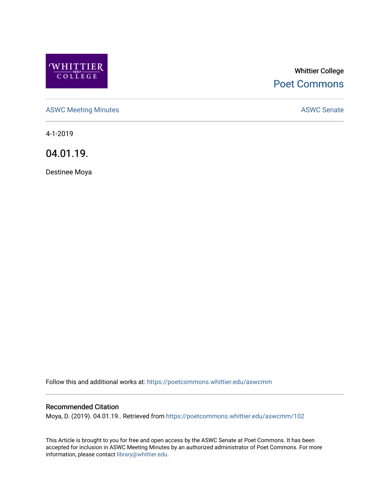

# Whittier College [Poet Commons](https://poetcommons.whittier.edu/)

[ASWC Meeting Minutes](https://poetcommons.whittier.edu/aswcmm) **ASWC Senate** 

4-1-2019

04.01.19.

Destinee Moya

Follow this and additional works at: [https://poetcommons.whittier.edu/aswcmm](https://poetcommons.whittier.edu/aswcmm?utm_source=poetcommons.whittier.edu%2Faswcmm%2F102&utm_medium=PDF&utm_campaign=PDFCoverPages)

#### Recommended Citation

Moya, D. (2019). 04.01.19.. Retrieved from [https://poetcommons.whittier.edu/aswcmm/102](https://poetcommons.whittier.edu/aswcmm/102?utm_source=poetcommons.whittier.edu%2Faswcmm%2F102&utm_medium=PDF&utm_campaign=PDFCoverPages)

This Article is brought to you for free and open access by the ASWC Senate at Poet Commons. It has been accepted for inclusion in ASWC Meeting Minutes by an authorized administrator of Poet Commons. For more information, please contact [library@whittier.edu.](mailto:library@whittier.edu)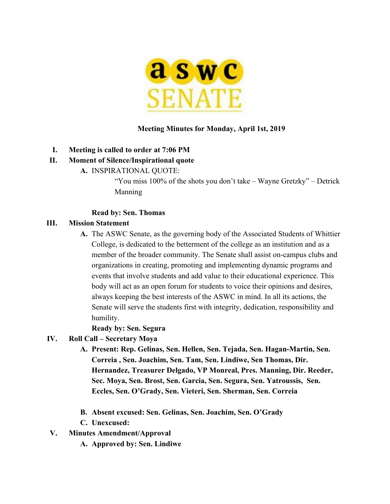

### **Meeting Minutes for Monday, April 1st, 2019**

#### **I. Meeting is called to order at 7:06 PM**

#### **II. Moment of Silence/Inspirational quote**

**A.** INSPIRATIONAL QUOTE:

"You miss 100% of the shots you don't take – Wayne Gretzky" – Detrick Manning

#### **Read by: Sen. Thomas**

#### **III. Mission Statement**

**A.** The ASWC Senate, as the governing body of the Associated Students of Whittier College, is dedicated to the betterment of the college as an institution and as a member of the broader community. The Senate shall assist on-campus clubs and organizations in creating, promoting and implementing dynamic programs and events that involve students and add value to their educational experience. This body will act as an open forum for students to voice their opinions and desires, always keeping the best interests of the ASWC in mind. In all its actions, the Senate will serve the students first with integrity, dedication, responsibility and humility.

**Ready by: Sen. Segura**

- **IV. Roll Call Secretary Moya**
	- **A. Present: Rep. Gelinas, Sen. Hellen, Sen. Tejada, Sen. Hagan-Martin, Sen. Correia , Sen. Joachim, Sen. Tam, Sen. Lindiwe, Sen Thomas, Dir. Hernandez, Treasurer Delgado, VP Monreal, Pres. Manning, Dir. Reeder, Sec. Moya, Sen. Brost, Sen. Garcia, Sen. Segura, Sen. Yatroussis, Sen. Eccles, Sen. O'Grady, Sen. Vieteri, Sen. Sherman, Sen. Correia**
	- **B. Absent excused: Sen. Gelinas, Sen. Joachim, Sen. O'Grady**
	- **C. Unexcused:**
- **V. Minutes Amendment/Approval**
	- **A. Approved by: Sen. Lindiwe**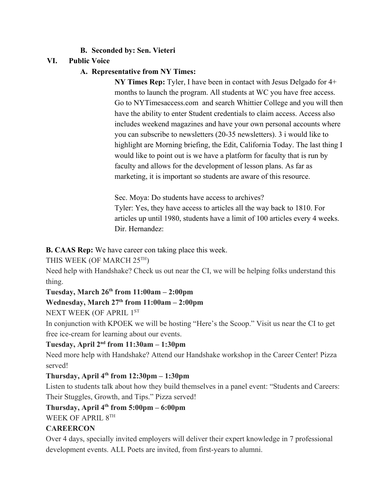### **B. Seconded by: Sen. Vieteri**

## **VI. Public Voice**

## **A. Representative from NY Times:**

**NY Times Rep:** Tyler, I have been in contact with Jesus Delgado for 4+ months to launch the program. All students at WC you have free access. Go to NYTimesaccess.com and search Whittier College and you will then have the ability to enter Student credentials to claim access. Access also includes weekend magazines and have your own personal accounts where you can subscribe to newsletters (20-35 newsletters). 3 i would like to highlight are Morning briefing, the Edit, California Today. The last thing I would like to point out is we have a platform for faculty that is run by faculty and allows for the development of lesson plans. As far as marketing, it is important so students are aware of this resource.

Sec. Moya: Do students have access to archives? Tyler: Yes, they have access to articles all the way back to 1810. For articles up until 1980, students have a limit of 100 articles every 4 weeks. Dir. Hernandez:

**B. CAAS Rep:** We have career con taking place this week.

THIS WEEK (OF MARCH 25TH)

Need help with Handshake? Check us out near the CI, we will be helping folks understand this thing.

## **Tuesday, March 26th from 11:00am – 2:00pm**

## **Wednesday, March 27th from 11:00am – 2:00pm**

NEXT WEEK (OF APRIL 1ST

In conjunction with KPOEK we will be hosting "Here's the Scoop." Visit us near the CI to get free ice-cream for learning about our events.

### **Tuesday, April 2nd from 11:30am – 1:30pm**

Need more help with Handshake? Attend our Handshake workshop in the Career Center! Pizza served!

## **Thursday, April 4th from 12:30pm – 1:30pm**

Listen to students talk about how they build themselves in a panel event: "Students and Careers: Their Stuggles, Growth, and Tips." Pizza served!

## **Thursday, April 4th from 5:00pm – 6:00pm**

WEEK OF APRIL 8TH

### **CAREERCON**

Over 4 days, specially invited employers will deliver their expert knowledge in 7 professional development events. ALL Poets are invited, from first-years to alumni.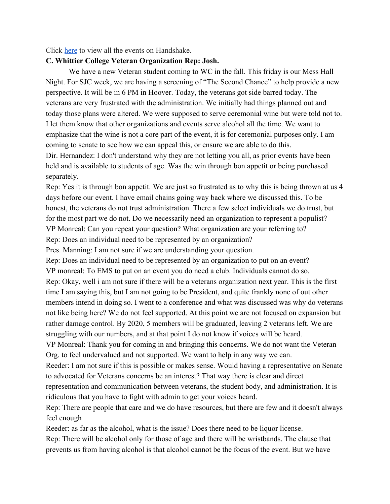Click [here](https://whittier.joinhandshake.com/events/search?page=1&per_page=25&sort_direction=asc&sort_column=default&query=careercon) to view all the events on Handshake.

#### **C. Whittier College Veteran Organization Rep: Josh.**

We have a new Veteran student coming to WC in the fall. This friday is our Mess Hall Night. For SJC week, we are having a screening of "The Second Chance" to help provide a new perspective. It will be in 6 PM in Hoover. Today, the veterans got side barred today. The veterans are very frustrated with the administration. We initially had things planned out and today those plans were altered. We were supposed to serve ceremonial wine but were told not to. I let them know that other organizations and events serve alcohol all the time. We want to emphasize that the wine is not a core part of the event, it is for ceremonial purposes only. I am coming to senate to see how we can appeal this, or ensure we are able to do this. Dir. Hernandez: I don't understand why they are not letting you all, as prior events have been held and is available to students of age. Was the win through bon appetit or being purchased separately.

Rep: Yes it is through bon appetit. We are just so frustrated as to why this is being thrown at us 4 days before our event. I have email chains going way back where we discussed this. To be honest, the veterans do not trust administration. There a few select individuals we do trust, but for the most part we do not. Do we necessarily need an organization to represent a populist? VP Monreal: Can you repeat your question? What organization are your referring to?

Rep: Does an individual need to be represented by an organization?

Pres. Manning: I am not sure if we are understanding your question.

Rep: Does an individual need to be represented by an organization to put on an event? VP monreal: To EMS to put on an event you do need a club. Individuals cannot do so. Rep: Okay, well i am not sure if there will be a veterans organization next year. This is the first time I am saying this, but I am not going to be President, and quite frankly none of out other members intend in doing so. I went to a conference and what was discussed was why do veterans not like being here? We do not feel supported. At this point we are not focused on expansion but rather damage control. By 2020, 5 members will be graduated, leaving 2 veterans left. We are struggling with our numbers, and at that point I do not know if voices will be heard.

VP Monreal: Thank you for coming in and bringing this concerns. We do not want the Veteran Org. to feel undervalued and not supported. We want to help in any way we can.

Reeder: I am not sure if this is possible or makes sense. Would having a representative on Senate to advocated for Veterans concerns be an interest? That way there is clear and direct

representation and communication between veterans, the student body, and administration. It is ridiculous that you have to fight with admin to get your voices heard.

Rep: There are people that care and we do have resources, but there are few and it doesn't always feel enough

Reeder: as far as the alcohol, what is the issue? Does there need to be liquor license. Rep: There will be alcohol only for those of age and there will be wristbands. The clause that prevents us from having alcohol is that alcohol cannot be the focus of the event. But we have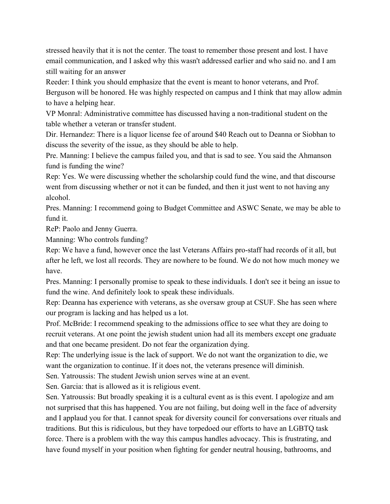stressed heavily that it is not the center. The toast to remember those present and lost. I have email communication, and I asked why this wasn't addressed earlier and who said no. and I am still waiting for an answer

Reeder: I think you should emphasize that the event is meant to honor veterans, and Prof. Berguson will be honored. He was highly respected on campus and I think that may allow admin to have a helping hear.

VP Monral: Administrative committee has discussed having a non-traditional student on the table whether a veteran or transfer student.

Dir. Hernandez: There is a liquor license fee of around \$40 Reach out to Deanna or Siobhan to discuss the severity of the issue, as they should be able to help.

Pre. Manning: I believe the campus failed you, and that is sad to see. You said the Ahmanson fund is funding the wine?

Rep: Yes. We were discussing whether the scholarship could fund the wine, and that discourse went from discussing whether or not it can be funded, and then it just went to not having any alcohol.

Pres. Manning: I recommend going to Budget Committee and ASWC Senate, we may be able to fund it.

ReP: Paolo and Jenny Guerra.

Manning: Who controls funding?

Rep: We have a fund, however once the last Veterans Affairs pro-staff had records of it all, but after he left, we lost all records. They are nowhere to be found. We do not how much money we have.

Pres. Manning: I personally promise to speak to these individuals. I don't see it being an issue to fund the wine. And definitely look to speak these individuals.

Rep: Deanna has experience with veterans, as she oversaw group at CSUF. She has seen where our program is lacking and has helped us a lot.

Prof. McBride: I recommend speaking to the admissions office to see what they are doing to recruit veterans. At one point the jewish student union had all its members except one graduate and that one became president. Do not fear the organization dying.

Rep: The underlying issue is the lack of support. We do not want the organization to die, we want the organization to continue. If it does not, the veterans presence will diminish.

Sen. Yatroussis: The student Jewish union serves wine at an event.

Sen. Garcia: that is allowed as it is religious event.

Sen. Yatroussis: But broadly speaking it is a cultural event as is this event. I apologize and am not surprised that this has happened. You are not failing, but doing well in the face of adversity and I applaud you for that. I cannot speak for diversity council for conversations over rituals and traditions. But this is ridiculous, but they have torpedoed our efforts to have an LGBTQ task force. There is a problem with the way this campus handles advocacy. This is frustrating, and have found myself in your position when fighting for gender neutral housing, bathrooms, and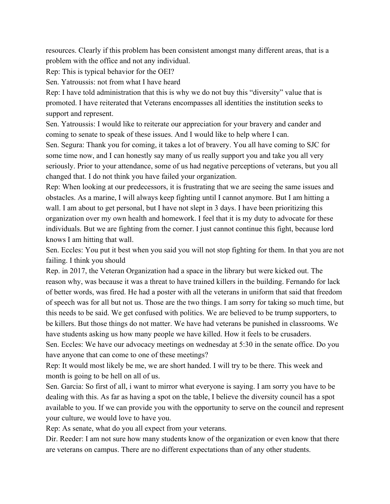resources. Clearly if this problem has been consistent amongst many different areas, that is a problem with the office and not any individual.

Rep: This is typical behavior for the OEI?

Sen. Yatroussis: not from what I have heard

Rep: I have told administration that this is why we do not buy this "diversity" value that is promoted. I have reiterated that Veterans encompasses all identities the institution seeks to support and represent.

Sen. Yatroussis: I would like to reiterate our appreciation for your bravery and cander and coming to senate to speak of these issues. And I would like to help where I can.

Sen. Segura: Thank you for coming, it takes a lot of bravery. You all have coming to SJC for some time now, and I can honestly say many of us really support you and take you all very seriously. Prior to your attendance, some of us had negative perceptions of veterans, but you all changed that. I do not think you have failed your organization.

Rep: When looking at our predecessors, it is frustrating that we are seeing the same issues and obstacles. As a marine, I will always keep fighting until I cannot anymore. But I am hitting a wall. I am about to get personal, but I have not slept in 3 days. I have been prioritizing this organization over my own health and homework. I feel that it is my duty to advocate for these individuals. But we are fighting from the corner. I just cannot continue this fight, because lord knows I am hitting that wall.

Sen. Eccles: You put it best when you said you will not stop fighting for them. In that you are not failing. I think you should

Rep. in 2017, the Veteran Organization had a space in the library but were kicked out. The reason why, was because it was a threat to have trained killers in the building. Fernando for lack of better words, was fired. He had a poster with all the veterans in uniform that said that freedom of speech was for all but not us. Those are the two things. I am sorry for taking so much time, but this needs to be said. We get confused with politics. We are believed to be trump supporters, to be killers. But those things do not matter. We have had veterans be punished in classrooms. We have students asking us how many people we have killed. How it feels to be crusaders. Sen. Eccles: We have our advocacy meetings on wednesday at 5:30 in the senate office. Do you have anyone that can come to one of these meetings?

Rep: It would most likely be me, we are short handed. I will try to be there. This week and month is going to be hell on all of us.

Sen. Garcia: So first of all, i want to mirror what everyone is saying. I am sorry you have to be dealing with this. As far as having a spot on the table, I believe the diversity council has a spot available to you. If we can provide you with the opportunity to serve on the council and represent your culture, we would love to have you.

Rep: As senate, what do you all expect from your veterans.

Dir. Reeder: I am not sure how many students know of the organization or even know that there are veterans on campus. There are no different expectations than of any other students.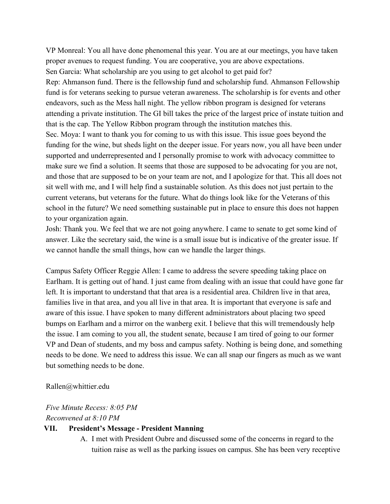VP Monreal: You all have done phenomenal this year. You are at our meetings, you have taken proper avenues to request funding. You are cooperative, you are above expectations. Sen Garcia: What scholarship are you using to get alcohol to get paid for? Rep: Ahmanson fund. There is the fellowship fund and scholarship fund. Ahmanson Fellowship fund is for veterans seeking to pursue veteran awareness. The scholarship is for events and other endeavors, such as the Mess hall night. The yellow ribbon program is designed for veterans attending a private institution. The GI bill takes the price of the largest price of instate tuition and that is the cap. The Yellow Ribbon program through the institution matches this. Sec. Moya: I want to thank you for coming to us with this issue. This issue goes beyond the funding for the wine, but sheds light on the deeper issue. For years now, you all have been under supported and underrepresented and I personally promise to work with advocacy committee to make sure we find a solution. It seems that those are supposed to be advocating for you are not, and those that are supposed to be on your team are not, and I apologize for that. This all does not sit well with me, and I will help find a sustainable solution. As this does not just pertain to the current veterans, but veterans for the future. What do things look like for the Veterans of this school in the future? We need something sustainable put in place to ensure this does not happen to your organization again.

Josh: Thank you. We feel that we are not going anywhere. I came to senate to get some kind of answer. Like the secretary said, the wine is a small issue but is indicative of the greater issue. If we cannot handle the small things, how can we handle the larger things.

Campus Safety Officer Reggie Allen: I came to address the severe speeding taking place on Earlham. It is getting out of hand. I just came from dealing with an issue that could have gone far left. It is important to understand that that area is a residential area. Children live in that area, families live in that area, and you all live in that area. It is important that everyone is safe and aware of this issue. I have spoken to many different administrators about placing two speed bumps on Earlham and a mirror on the wanberg exit. I believe that this will tremendously help the issue. I am coming to you all, the student senate, because I am tired of going to our former VP and Dean of students, and my boss and campus safety. Nothing is being done, and something needs to be done. We need to address this issue. We can all snap our fingers as much as we want but something needs to be done.

#### Rallen@whittier.edu

*Five Minute Recess: 8:05 PM Reconvened at 8:10 PM*

#### **VII. President's Message - President Manning**

A. I met with President Oubre and discussed some of the concerns in regard to the tuition raise as well as the parking issues on campus. She has been very receptive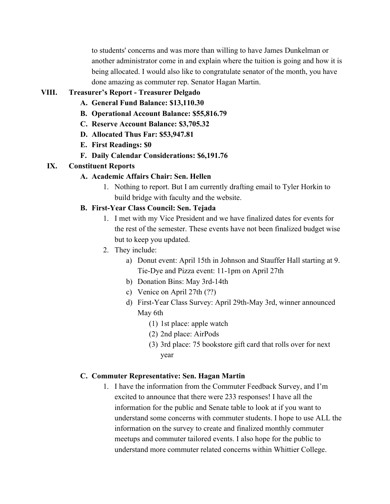to students' concerns and was more than willing to have James Dunkelman or another administrator come in and explain where the tuition is going and how it is being allocated. I would also like to congratulate senator of the month, you have done amazing as commuter rep. Senator Hagan Martin.

### **VIII. Treasurer's Report - Treasurer Delgado**

- **A. General Fund Balance: \$13,110.30**
- **B. Operational Account Balance: \$55,816.79**
- **C. Reserve Account Balance: \$3,705.32**
- **D. Allocated Thus Far: \$53,947.81**
- **E. First Readings: \$0**
- **F. Daily Calendar Considerations: \$6,191.76**

#### **IX. Constituent Reports**

### **A. Academic Affairs Chair: Sen. Hellen**

1. Nothing to report. But I am currently drafting email to Tyler Horkin to build bridge with faculty and the website.

### **B. First-Year Class Council: Sen. Tejada**

- 1. I met with my Vice President and we have finalized dates for events for the rest of the semester. These events have not been finalized budget wise but to keep you updated.
- 2. They include:
	- a) Donut event: April 15th in Johnson and Stauffer Hall starting at 9. Tie-Dye and Pizza event: 11-1pm on April 27th
	- b) Donation Bins: May 3rd-14th
	- c) Venice on April 27th (??)
	- d) First-Year Class Survey: April 29th-May 3rd, winner announced May 6th
		- (1) 1st place: apple watch
		- (2) 2nd place: AirPods
		- (3) 3rd place: 75 bookstore gift card that rolls over for next year

#### **C. Commuter Representative: Sen. Hagan Martin**

1. I have the information from the Commuter Feedback Survey, and I'm excited to announce that there were 233 responses! I have all the information for the public and Senate table to look at if you want to understand some concerns with commuter students. I hope to use ALL the information on the survey to create and finalized monthly commuter meetups and commuter tailored events. I also hope for the public to understand more commuter related concerns within Whittier College.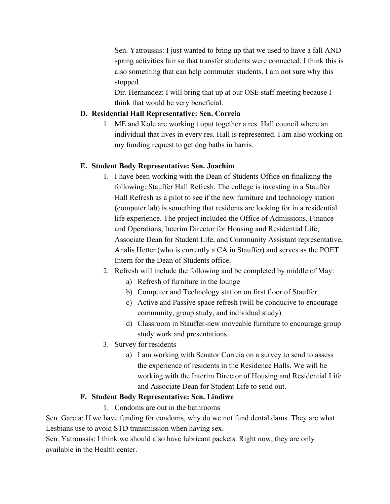Sen. Yatroussis: I just wanted to bring up that we used to have a fall AND spring activities fair so that transfer students were connected. I think this is also something that can help commuter students. I am not sure why this stopped.

Dir. Hernandez: I will bring that up at our OSE staff meeting because I think that would be very beneficial.

### **D. Residential Hall Representative: Sen. Correia**

1. ME and Kole are working t oput together a res. Hall council where an individual that lives in every res. Hall is represented. I am also working on my funding request to get dog baths in harris.

### **E. Student Body Representative: Sen. Joachim**

- 1. I have been working with the Dean of Students Office on finalizing the following: Stauffer Hall Refresh. The college is investing in a Stauffer Hall Refresh as a pilot to see if the new furniture and technology station (computer lab) is something that residents are looking for in a residential life experience. The project included the Office of Admissions, Finance and Operations, Interim Director for Housing and Residential Life, Associate Dean for Student Life, and Community Assistant representative, Analis Hetter (who is currently a CA in Stauffer) and serves as the POET Intern for the Dean of Students office.
- 2. Refresh will include the following and be completed by middle of May:
	- a) Refresh of furniture in the lounge
	- b) Computer and Technology station on first floor of Stauffer
	- c) Active and Passive space refresh (will be conducive to encourage community, group study, and individual study)
	- d) Classroom in Stauffer-new moveable furniture to encourage group study work and presentations.
- 3. Survey for residents
	- a) I am working with Senator Correia on a survey to send to assess the experience of residents in the Residence Halls. We will be working with the Interim Director of Housing and Residential Life and Associate Dean for Student Life to send out.

### **F. Student Body Representative: Sen. Lindiwe**

1. Condoms are out in the bathrooms

Sen. Garcia: If we have funding for condoms, why do we not fund dental dams. They are what Lesbians use to avoid STD transmission when having sex.

Sen. Yatroussis: I think we should also have lubricant packets. Right now, they are only available in the Health center.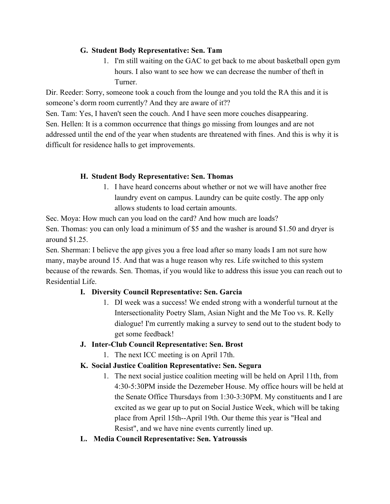### **G. Student Body Representative: Sen. Tam**

1. I'm still waiting on the GAC to get back to me about basketball open gym hours. I also want to see how we can decrease the number of theft in Turner.

Dir. Reeder: Sorry, someone took a couch from the lounge and you told the RA this and it is someone's dorm room currently? And they are aware of it??

Sen. Tam: Yes, I haven't seen the couch. And I have seen more couches disappearing. Sen. Hellen: It is a common occurrence that things go missing from lounges and are not addressed until the end of the year when students are threatened with fines. And this is why it is difficult for residence halls to get improvements.

## **H. Student Body Representative: Sen. Thomas**

1. I have heard concerns about whether or not we will have another free laundry event on campus. Laundry can be quite costly. The app only allows students to load certain amounts.

Sec. Moya: How much can you load on the card? And how much are loads?

Sen. Thomas: you can only load a minimum of \$5 and the washer is around \$1.50 and dryer is around \$1.25.

Sen. Sherman: I believe the app gives you a free load after so many loads I am not sure how many, maybe around 15. And that was a huge reason why res. Life switched to this system because of the rewards. Sen. Thomas, if you would like to address this issue you can reach out to Residential Life.

## **I. Diversity Council Representative: Sen. Garcia**

1. DI week was a success! We ended strong with a wonderful turnout at the Intersectionality Poetry Slam, Asian Night and the Me Too vs. R. Kelly dialogue! I'm currently making a survey to send out to the student body to get some feedback!

### **J. Inter-Club Council Representative: Sen. Brost**

1. The next ICC meeting is on April 17th.

## **K. Social Justice Coalition Representative: Sen. Segura**

- 1. The next social justice coalition meeting will be held on April 11th, from 4:30-5:30PM inside the Dezemeber House. My office hours will be held at the Senate Office Thursdays from 1:30-3:30PM. My constituents and I are excited as we gear up to put on Social Justice Week, which will be taking place from April 15th--April 19th. Our theme this year is "Heal and Resist", and we have nine events currently lined up.
- **L. Media Council Representative: Sen. Yatroussis**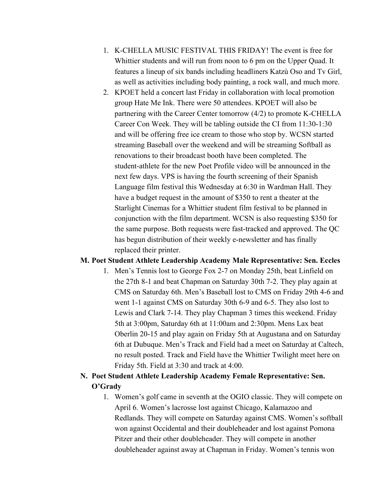- 1. K-CHELLA MUSIC FESTIVAL THIS FRIDAY! The event is free for Whittier students and will run from noon to 6 pm on the Upper Quad. It features a lineup of six bands including headliners Katzù Oso and Tv Girl, as well as activities including body painting, a rock wall, and much more.
- 2. KPOET held a concert last Friday in collaboration with local promotion group Hate Me Ink. There were 50 attendees. KPOET will also be partnering with the Career Center tomorrow (4/2) to promote K-CHELLA Career Con Week. They will be tabling outside the CI from 11:30-1:30 and will be offering free ice cream to those who stop by. WCSN started streaming Baseball over the weekend and will be streaming Softball as renovations to their broadcast booth have been completed. The student-athlete for the new Poet Profile video will be announced in the next few days. VPS is having the fourth screening of their Spanish Language film festival this Wednesday at 6:30 in Wardman Hall. They have a budget request in the amount of \$350 to rent a theater at the Starlight Cinemas for a Whittier student film festival to be planned in conjunction with the film department. WCSN is also requesting \$350 for the same purpose. Both requests were fast-tracked and approved. The QC has begun distribution of their weekly e-newsletter and has finally replaced their printer.

#### **M. Poet Student Athlete Leadership Academy Male Representative: Sen. Eccles**

1. Men's Tennis lost to George Fox 2-7 on Monday 25th, beat Linfield on the 27th 8-1 and beat Chapman on Saturday 30th 7-2. They play again at CMS on Saturday 6th. Men's Baseball lost to CMS on Friday 29th 4-6 and went 1-1 against CMS on Saturday 30th 6-9 and 6-5. They also lost to Lewis and Clark 7-14. They play Chapman 3 times this weekend. Friday 5th at 3:00pm, Saturday 6th at 11:00am and 2:30pm. Mens Lax beat Oberlin 20-15 and play again on Friday 5th at Augustana and on Saturday 6th at Dubuque. Men's Track and Field had a meet on Saturday at Caltech, no result posted. Track and Field have the Whittier Twilight meet here on Friday 5th. Field at 3:30 and track at 4:00.

## **N. Poet Student Athlete Leadership Academy Female Representative: Sen. O'Grady**

1. Women's golf came in seventh at the OGIO classic. They will compete on April 6. Women's lacrosse lost against Chicago, Kalamazoo and Redlands. They will compete on Saturday against CMS. Women's softball won against Occidental and their doubleheader and lost against Pomona Pitzer and their other doubleheader. They will compete in another doubleheader against away at Chapman in Friday. Women's tennis won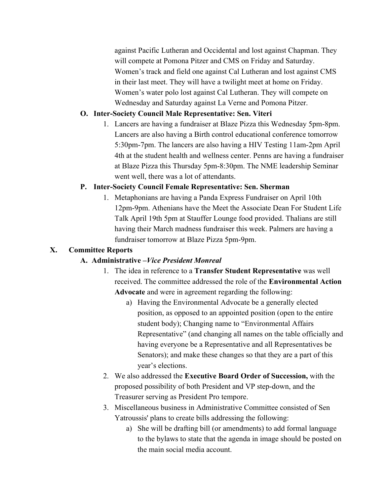against Pacific Lutheran and Occidental and lost against Chapman. They will compete at Pomona Pitzer and CMS on Friday and Saturday. Women's track and field one against Cal Lutheran and lost against CMS in their last meet. They will have a twilight meet at home on Friday. Women's water polo lost against Cal Lutheran. They will compete on Wednesday and Saturday against La Verne and Pomona Pitzer.

### **O. Inter-Society Council Male Representative: Sen. Viteri**

1. Lancers are having a fundraiser at Blaze Pizza this Wednesday 5pm-8pm. Lancers are also having a Birth control educational conference tomorrow 5:30pm-7pm. The lancers are also having a HIV Testing 11am-2pm April 4th at the student health and wellness center. Penns are having a fundraiser at Blaze Pizza this Thursday 5pm-8:30pm. The NME leadership Seminar went well, there was a lot of attendants.

## **P. Inter-Society Council Female Representative: Sen. Sherman**

1. Metaphonians are having a Panda Express Fundraiser on April 10th 12pm-9pm. Athenians have the Meet the Associate Dean For Student Life Talk April 19th 5pm at Stauffer Lounge food provided. Thalians are still having their March madness fundraiser this week. Palmers are having a fundraiser tomorrow at Blaze Pizza 5pm-9pm.

### **X. Committee Reports**

## **A. Administrative –***Vice President Monreal*

- 1. The idea in reference to a **Transfer Student Representative** was well received. The committee addressed the role of the **Environmental Action Advocate** and were in agreement regarding the following:
	- a) Having the Environmental Advocate be a generally elected position, as opposed to an appointed position (open to the entire student body); Changing name to "Environmental Affairs Representative" (and changing all names on the table officially and having everyone be a Representative and all Representatives be Senators); and make these changes so that they are a part of this year's elections.
- 2. We also addressed the **Executive Board Order of Succession,** with the proposed possibility of both President and VP step-down, and the Treasurer serving as President Pro tempore.
- 3. Miscellaneous business in Administrative Committee consisted of Sen Yatroussis' plans to create bills addressing the following:
	- a) She will be drafting bill (or amendments) to add formal language to the bylaws to state that the agenda in image should be posted on the main social media account.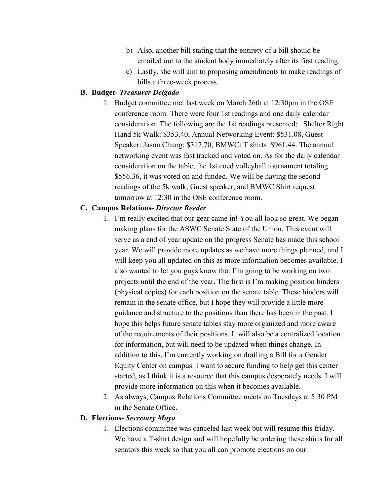- b) Also, another bill stating that the entirety of a bill should be emailed out to the student body immediately after its first reading.
- c) Lastly, she will aim to proposing amendments to make readings of bills a three-week process.

### **B. Budget-** *Treasurer Delgado*

1. Budget committee met last week on March 26th at 12:30pm in the OSE conference room. There were four 1st readings and one daily calendar consideration. The following are the 1st readings presented; Shelter Right Hand 5k Walk: \$353.40, Annual Networking Event: \$531.08, Guest Speaker: Jason Chung: \$317.70, BMWC: T shirts \$961.44. The annual networking event was fast tracked and voted on. As for the daily calendar consideration on the table, the 1st coed volleyball tournament totaling \$556.36, it was voted on and funded. We will be having the second readings of the 5k walk, Guest speaker, and BMWC Shirt request tomorrow at 12:30 in the OSE conference room.

### **C. Campus Relations-** *Director Reeder*

- 1. I'm really excited that our gear came in! You all look so great. We began making plans for the ASWC Senate State of the Union. This event will serve as a end of year update on the progress Senate has made this school year. We will provide more updates as we have more things planned, and I will keep you all updated on this as more information becomes available. I also wanted to let you guys know that I'm going to be working on two projects until the end of the year. The first is I'm making position binders (physical copies) for each position on the senate table. These binders will remain in the senate office, but I hope they will provide a little more guidance and structure to the positions than there has been in the past. I hope this helps future senate tables stay more organized and more aware of the requirements of their positions. It will also be a centralized location for information, but will need to be updated when things change. In addition to this, I'm currently working on drafting a Bill for a Gender Equity Center on campus. I want to secure funding to help get this center started, as I think it is a resource that this campus desperately needs. I will provide more information on this when it becomes available.
- 2. As always, Campus Relations Committee meets on Tuesdays at 5:30 PM in the Senate Office.

#### **D. Elections-** *Secretary Moya*

1. Elections committee was canceled last week but will resume this friday. We have a T-shirt design and will hopefully be ordering these shirts for all senators this week so that you all can promote elections on our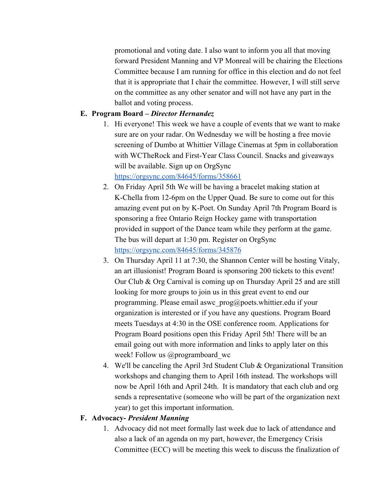promotional and voting date. I also want to inform you all that moving forward President Manning and VP Monreal will be chairing the Elections Committee because I am running for office in this election and do not feel that it is appropriate that I chair the committee. However, I will still serve on the committee as any other senator and will not have any part in the ballot and voting process.

### **E. Program Board –** *Director Hernandez*

- 1. Hi everyone! This week we have a couple of events that we want to make sure are on your radar. On Wednesday we will be hosting a free movie screening of Dumbo at Whittier Village Cinemas at 5pm in collaboration with WCTheRock and First-Year Class Council. Snacks and giveaways will be available. Sign up on OrgSync <https://orgsync.com/84645/forms/358661>
- 2. On Friday April 5th We will be having a bracelet making station at K-Chella from 12-6pm on the Upper Quad. Be sure to come out for this amazing event put on by K-Poet. On Sunday April 7th Program Board is sponsoring a free Ontario Reign Hockey game with transportation provided in support of the Dance team while they perform at the game. The bus will depart at 1:30 pm. Register on OrgSync <https://orgsync.com/84645/forms/345876>
- 3. On Thursday April 11 at 7:30, the Shannon Center will be hosting Vitaly, an art illusionist! Program Board is sponsoring 200 tickets to this event! Our Club & Org Carnival is coming up on Thursday April 25 and are still looking for more groups to join us in this great event to end our programming. Please email aswc\_prog@poets.whittier.edu if your organization is interested or if you have any questions. Program Board meets Tuesdays at 4:30 in the OSE conference room. Applications for Program Board positions open this Friday April 5th! There will be an email going out with more information and links to apply later on this week! Follow us @programboard wc
- 4. We'll be canceling the April 3rd Student Club & Organizational Transition workshops and changing them to April 16th instead. The workshops will now be April 16th and April 24th. It is mandatory that each club and org sends a representative (someone who will be part of the organization next year) to get this important information.

### **F. Advocacy-** *President Manning*

1. Advocacy did not meet formally last week due to lack of attendance and also a lack of an agenda on my part, however, the Emergency Crisis Committee (ECC) will be meeting this week to discuss the finalization of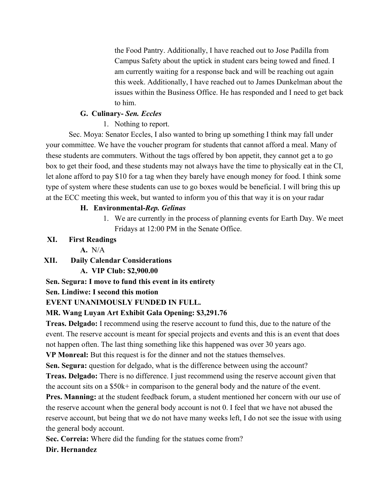the Food Pantry. Additionally, I have reached out to Jose Padilla from Campus Safety about the uptick in student cars being towed and fined. I am currently waiting for a response back and will be reaching out again this week. Additionally, I have reached out to James Dunkelman about the issues within the Business Office. He has responded and I need to get back to him.

## **G. Culinary-** *Sen. Eccles*

## 1. Nothing to report.

Sec. Moya: Senator Eccles, I also wanted to bring up something I think may fall under your committee. We have the voucher program for students that cannot afford a meal. Many of these students are commuters. Without the tags offered by bon appetit, they cannot get a to go box to get their food, and these students may not always have the time to physically eat in the CI, let alone afford to pay \$10 for a tag when they barely have enough money for food. I think some type of system where these students can use to go boxes would be beneficial. I will bring this up at the ECC meeting this week, but wanted to inform you of this that way it is on your radar

## **H. Environmental-***Rep. Gelinas*

1. We are currently in the process of planning events for Earth Day. We meet Fridays at 12:00 PM in the Senate Office.

## **XI. First Readings**

**A.** N/A

## **XII. Daily Calendar Considerations**

## **A. VIP Club: \$2,900.00**

## **Sen. Segura: I move to fund this event in its entirety**

## **Sen. Lindiwe: I second this motion**

## **EVENT UNANIMOUSLY FUNDED IN FULL.**

## **MR. Wang Luyan Art Exhibit Gala Opening: \$3,291.76**

**Treas. Delgado:** I recommend using the reserve account to fund this, due to the nature of the event. The reserve account is meant for special projects and events and this is an event that does not happen often. The last thing something like this happened was over 30 years ago. **VP Monreal:** But this request is for the dinner and not the statues themselves.

**Sen. Segura:** question for delgado, what is the difference between using the account? **Treas. Delgado:** There is no difference. I just recommend using the reserve account given that the account sits on a \$50k+ in comparison to the general body and the nature of the event.

**Pres. Manning:** at the student feedback forum, a student mentioned her concern with our use of the reserve account when the general body account is not 0. I feel that we have not abused the reserve account, but being that we do not have many weeks left, I do not see the issue with using the general body account.

**Sec. Correia:** Where did the funding for the statues come from?

## **Dir. Hernandez**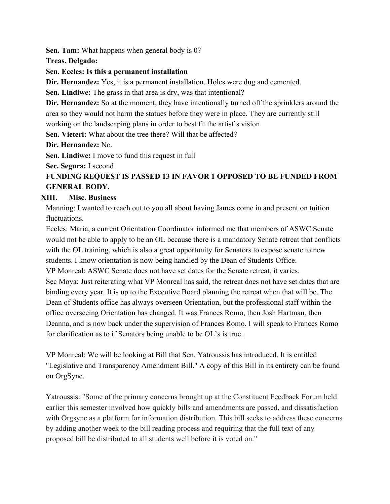**Sen. Tam:** What happens when general body is 0?

**Treas. Delgado:**

### **Sen. Eccles: Is this a permanent installation**

**Dir. Hernandez:** Yes, it is a permanent installation. Holes were dug and cemented.

**Sen. Lindiwe:** The grass in that area is dry, was that intentional?

**Dir. Hernandez:** So at the moment, they have intentionally turned off the sprinklers around the area so they would not harm the statues before they were in place. They are currently still working on the landscaping plans in order to best fit the artist's vision

**Sen. Vieteri:** What about the tree there? Will that be affected?

## **Dir. Hernandez:** No.

**Sen. Lindiwe:** I move to fund this request in full

**Sec. Segura:** I second

## **FUNDING REQUEST IS PASSED 13 IN FAVOR 1 OPPOSED TO BE FUNDED FROM GENERAL BODY.**

## **XIII. Misc. Business**

Manning: I wanted to reach out to you all about having James come in and present on tuition fluctuations.

Eccles: Maria, a current Orientation Coordinator informed me that members of ASWC Senate would not be able to apply to be an OL because there is a mandatory Senate retreat that conflicts with the OL training, which is also a great opportunity for Senators to expose senate to new students. I know orientation is now being handled by the Dean of Students Office. VP Monreal: ASWC Senate does not have set dates for the Senate retreat, it varies. Sec Moya: Just reiterating what VP Monreal has said, the retreat does not have set dates that are binding every year. It is up to the Executive Board planning the retreat when that will be. The Dean of Students office has always overseen Orientation, but the professional staff within the office overseeing Orientation has changed. It was Frances Romo, then Josh Hartman, then Deanna, and is now back under the supervision of Frances Romo. I will speak to Frances Romo for clarification as to if Senators being unable to be OL's is true.

VP Monreal: We will be looking at Bill that Sen. Yatroussis has introduced. It is entitled "Legislative and Transparency Amendment Bill." A copy of this Bill in its entirety can be found on OrgSync.

Yatroussis: "Some of the primary concerns brought up at the Constituent Feedback Forum held earlier this semester involved how quickly bills and amendments are passed, and dissatisfaction with Orgsync as a platform for information distribution. This bill seeks to address these concerns by adding another week to the bill reading process and requiring that the full text of any proposed bill be distributed to all students well before it is voted on."